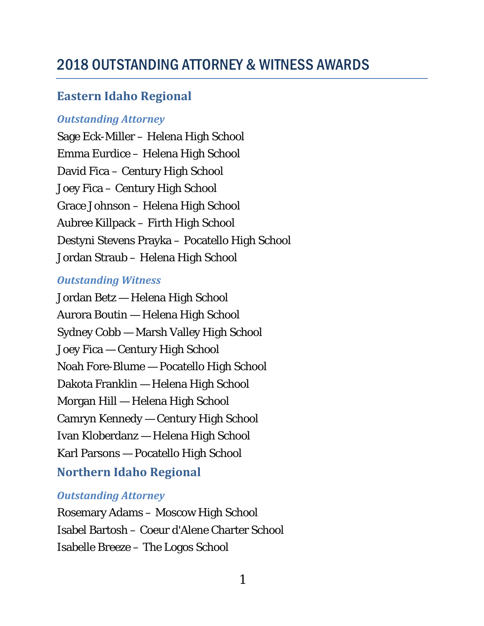# 2018 OUTSTANDING ATTORNEY & WITNESS AWARDS

## **Eastern Idaho Regional**

## *Outstanding Attorney*

Sage Eck-Miller – Helena High School Emma Eurdice – Helena High School David Fica – Century High School Joey Fica – Century High School Grace Johnson – Helena High School Aubree Killpack – Firth High School Destyni Stevens Prayka – Pocatello High School Jordan Straub – Helena High School

## *Outstanding Witness*

Jordan Betz — Helena High School Aurora Boutin — Helena High School Sydney Cobb — Marsh Valley High School Joey Fica — Century High School Noah Fore-Blume — Pocatello High School Dakota Franklin — Helena High School Morgan Hill — Helena High School Camryn Kennedy — Century High School Ivan Kloberdanz — Helena High School Karl Parsons — Pocatello High School **Northern Idaho Regional**

## *Outstanding Attorney*

Rosemary Adams – Moscow High School Isabel Bartosh – Coeur d'Alene Charter School Isabelle Breeze – The Logos School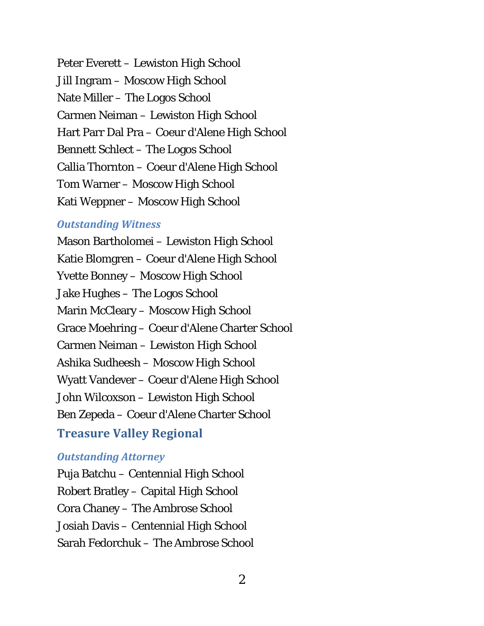Peter Everett – Lewiston High School Jill Ingram – Moscow High School Nate Miller – The Logos School Carmen Neiman – Lewiston High School Hart Parr Dal Pra – Coeur d'Alene High School Bennett Schlect – The Logos School Callia Thornton – Coeur d'Alene High School Tom Warner – Moscow High School Kati Weppner – Moscow High School

#### *Outstanding Witness*

Mason Bartholomei – Lewiston High School Katie Blomgren – Coeur d'Alene High School Yvette Bonney – Moscow High School Jake Hughes – The Logos School Marin McCleary – Moscow High School Grace Moehring – Coeur d'Alene Charter School Carmen Neiman – Lewiston High School Ashika Sudheesh – Moscow High School Wyatt Vandever – Coeur d'Alene High School John Wilcoxson – Lewiston High School Ben Zepeda – Coeur d'Alene Charter School **Treasure Valley Regional**

#### *Outstanding Attorney*

Puja Batchu – Centennial High School Robert Bratley – Capital High School Cora Chaney – The Ambrose School Josiah Davis – Centennial High School Sarah Fedorchuk – The Ambrose School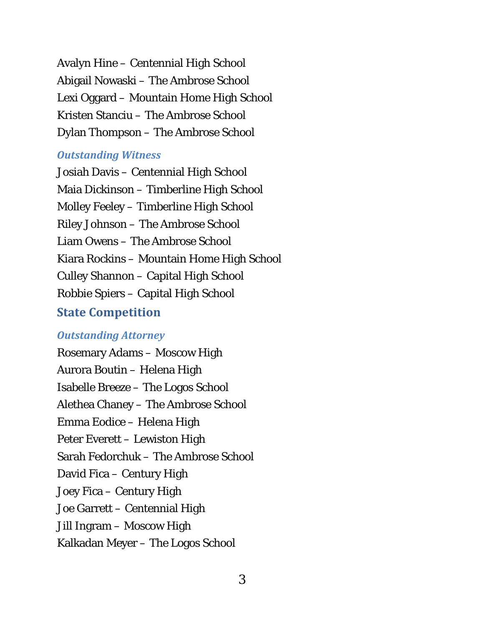Avalyn Hine – Centennial High School Abigail Nowaski – The Ambrose School Lexi Oggard – Mountain Home High School Kristen Stanciu – The Ambrose School Dylan Thompson – The Ambrose School

#### *Outstanding Witness*

Josiah Davis – Centennial High School Maia Dickinson – Timberline High School Molley Feeley – Timberline High School Riley Johnson – The Ambrose School Liam Owens – The Ambrose School Kiara Rockins – Mountain Home High School Culley Shannon – Capital High School Robbie Spiers – Capital High School **State Competition** 

## *Outstanding Attorney*

Rosemary Adams – Moscow High Aurora Boutin – Helena High Isabelle Breeze – The Logos School Alethea Chaney – The Ambrose School Emma Eodice – Helena High Peter Everett – Lewiston High Sarah Fedorchuk – The Ambrose School David Fica – Century High Joey Fica – Century High Joe Garrett – Centennial High Jill Ingram – Moscow High Kalkadan Meyer – The Logos School